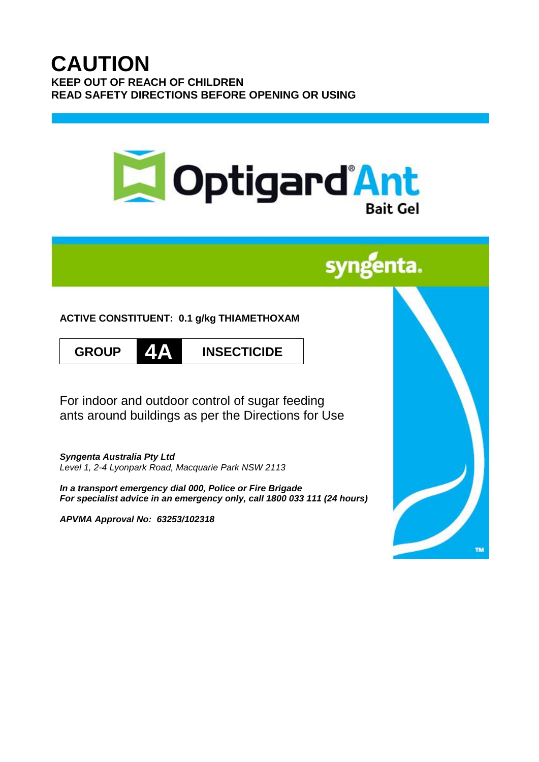# **CAUTION KEEP OUT OF REACH OF CHILDREN READ SAFETY DIRECTIONS BEFORE OPENING OR USING**



# syngenta.

**ACTIVE CONSTITUENT: 0.1 g/kg THIAMETHOXAM**





**GROUP 4A INSECTICIDE**

For indoor and outdoor control of sugar feeding ants around buildings as per the Directions for Use

*Syngenta Australia Pty Ltd Level 1, 2-4 Lyonpark Road, Macquarie Park NSW 2113*

*In a transport emergency dial 000, Police or Fire Brigade For specialist advice in an emergency only, call 1800 033 111 (24 hours)*

*APVMA Approval No: 63253/102318*

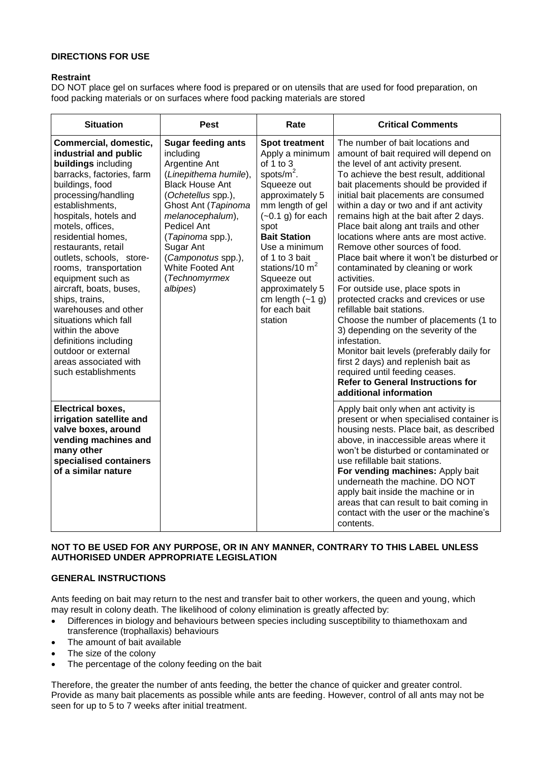# **DIRECTIONS FOR USE**

# **Restraint**

DO NOT place gel on surfaces where food is prepared or on utensils that are used for food preparation, on food packing materials or on surfaces where food packing materials are stored

| <b>Situation</b>                                                                                                                                                                                                                                                                                                                                                                                                                                                                                                                                      | <b>Pest</b>                                                                                                                                                                                                                                                                                        | Rate                                                                                                                                                                                                                                                                                                                              | <b>Critical Comments</b>                                                                                                                                                                                                                                                                                                                                                                                                                                                                                                                                                                                                                                                                                                                                                                                                                                                                                                                                |
|-------------------------------------------------------------------------------------------------------------------------------------------------------------------------------------------------------------------------------------------------------------------------------------------------------------------------------------------------------------------------------------------------------------------------------------------------------------------------------------------------------------------------------------------------------|----------------------------------------------------------------------------------------------------------------------------------------------------------------------------------------------------------------------------------------------------------------------------------------------------|-----------------------------------------------------------------------------------------------------------------------------------------------------------------------------------------------------------------------------------------------------------------------------------------------------------------------------------|---------------------------------------------------------------------------------------------------------------------------------------------------------------------------------------------------------------------------------------------------------------------------------------------------------------------------------------------------------------------------------------------------------------------------------------------------------------------------------------------------------------------------------------------------------------------------------------------------------------------------------------------------------------------------------------------------------------------------------------------------------------------------------------------------------------------------------------------------------------------------------------------------------------------------------------------------------|
| Commercial, domestic,<br>industrial and public<br>buildings including<br>barracks, factories, farm<br>buildings, food<br>processing/handling<br>establishments,<br>hospitals, hotels and<br>motels, offices,<br>residential homes,<br>restaurants, retail<br>outlets, schools, store-<br>rooms, transportation<br>equipment such as<br>aircraft, boats, buses,<br>ships, trains,<br>warehouses and other<br>situations which fall<br>within the above<br>definitions including<br>outdoor or external<br>areas associated with<br>such establishments | <b>Sugar feeding ants</b><br>including<br>Argentine Ant<br>(Linepithema humile),<br><b>Black House Ant</b><br>(Ochetellus spp.),<br>Ghost Ant (Tapinoma<br>melanocephalum),<br>Pedicel Ant<br>(Tapinoma spp.),<br>Sugar Ant<br>(Camponotus spp.),<br>White Footed Ant<br>(Technomyrmex<br>albipes) | <b>Spot treatment</b><br>Apply a minimum<br>of $1$ to $3$<br>spots/ $m^2$ .<br>Squeeze out<br>approximately 5<br>mm length of gel<br>$(-0.1)$ g) for each<br>spot<br><b>Bait Station</b><br>Use a minimum<br>of 1 to 3 bait<br>stations/10 $m2$<br>Squeeze out<br>approximately 5<br>cm length $(-1)$<br>for each bait<br>station | The number of bait locations and<br>amount of bait required will depend on<br>the level of ant activity present.<br>To achieve the best result, additional<br>bait placements should be provided if<br>initial bait placements are consumed<br>within a day or two and if ant activity<br>remains high at the bait after 2 days.<br>Place bait along ant trails and other<br>locations where ants are most active.<br>Remove other sources of food.<br>Place bait where it won't be disturbed or<br>contaminated by cleaning or work<br>activities.<br>For outside use, place spots in<br>protected cracks and crevices or use<br>refillable bait stations.<br>Choose the number of placements (1 to<br>3) depending on the severity of the<br>infestation.<br>Monitor bait levels (preferably daily for<br>first 2 days) and replenish bait as<br>required until feeding ceases.<br><b>Refer to General Instructions for</b><br>additional information |
| <b>Electrical boxes,</b><br>irrigation satellite and<br>valve boxes, around<br>vending machines and<br>many other<br>specialised containers<br>of a similar nature                                                                                                                                                                                                                                                                                                                                                                                    |                                                                                                                                                                                                                                                                                                    |                                                                                                                                                                                                                                                                                                                                   | Apply bait only when ant activity is<br>present or when specialised container is<br>housing nests. Place bait, as described<br>above, in inaccessible areas where it<br>won't be disturbed or contaminated or<br>use refillable bait stations.<br>For vending machines: Apply bait<br>underneath the machine. DO NOT<br>apply bait inside the machine or in<br>areas that can result to bait coming in<br>contact with the user or the machine's<br>contents.                                                                                                                                                                                                                                                                                                                                                                                                                                                                                           |

# **NOT TO BE USED FOR ANY PURPOSE, OR IN ANY MANNER, CONTRARY TO THIS LABEL UNLESS AUTHORISED UNDER APPROPRIATE LEGISLATION**

# **GENERAL INSTRUCTIONS**

Ants feeding on bait may return to the nest and transfer bait to other workers, the queen and young, which may result in colony death. The likelihood of colony elimination is greatly affected by:

- Differences in biology and behaviours between species including susceptibility to thiamethoxam and transference (trophallaxis) behaviours
- The amount of bait available
- The size of the colony
- The percentage of the colony feeding on the bait

Therefore, the greater the number of ants feeding, the better the chance of quicker and greater control. Provide as many bait placements as possible while ants are feeding. However, control of all ants may not be seen for up to 5 to 7 weeks after initial treatment.